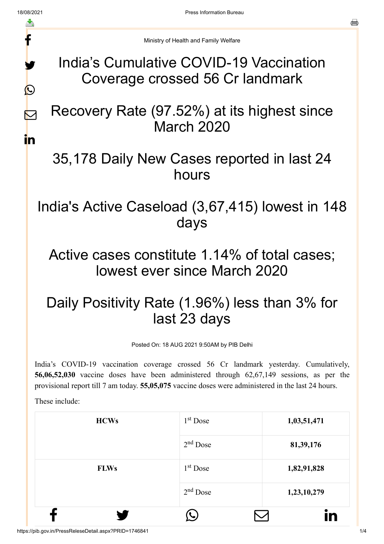f

y.

 $\bigcirc$ 

 $\triangleright$ 

in

Ministry of Health and Family Welfare

### India's Cumulative COVID-19 Vaccination Coverage crossed 56 Cr landmark

# Recovery Rate (97.52%) at its highest since March 2020

## 35,178 Daily New Cases reported in last 24 hours

India's Active Caseload (3,67,415) lowest in 148 days

### Active cases constitute 1.14% of total cases; lowest ever since March 2020

# Daily Positivity Rate (1.96%) less than 3% for last 23 days

Posted On: 18 AUG 2021 9:50AM by PIB Delhi

India's COVID-19 vaccination coverage crossed 56 Cr landmark yesterday. Cumulatively, **56,06,52,030** vaccine doses have been administered through 62,67,149 sessions, as per the provisional report till 7 am today. **55,05,075** vaccine doses were administered in the last 24 hours.

These include:

| <b>HCWs</b> | $1st$ Dose | 1,03,51,471 |
|-------------|------------|-------------|
|             | $2nd$ Dose | 81, 39, 176 |
| <b>FLWs</b> | $1st$ Dose | 1,82,91,828 |
|             | $2nd$ Dose | 1,23,10,279 |
|             |            | in          |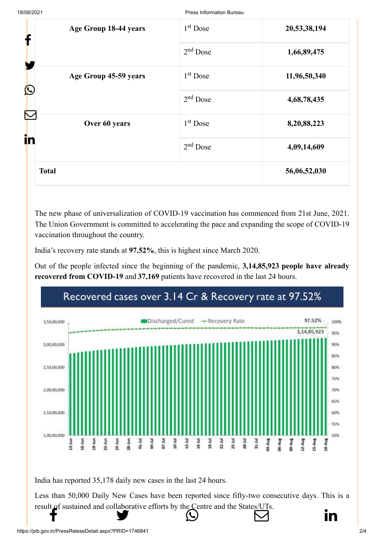| Age Group 18-44 years<br>f          | $1st$ Dose | 20,53,38,194 |
|-------------------------------------|------------|--------------|
|                                     | $2nd$ Dose | 1,66,89,475  |
| Age Group 45-59 years<br>$\bigcirc$ | $1st$ Dose | 11,96,50,340 |
|                                     | $2nd$ Dose | 4,68,78,435  |
| Over 60 years<br>in                 | $1st$ Dose | 8,20,88,223  |
|                                     | $2nd$ Dose | 4,09,14,609  |
| <b>Total</b>                        |            | 56,06,52,030 |

The new phase of universalization of COVID-19 vaccination has commenced from 21st June, 2021. The Union Government is committed to accelerating the pace and expanding the scope of COVID-19 vaccination throughout the country.

India's recovery rate stands at **97.52%**, this is highest since March 2020.

Out of the people infected since the beginning of the pandemic, **3,14,85,923 people have already recovered from COVID-19** and **37,169** patients have recovered in the last 24 hours.



India has reported 35,178 daily new cases in the last 24 hours.

Less than 50,000 Daily New Cases have been reported since fifty-two consecutive days. This is a [result of sustaine](http://www.facebook.com/share.php?u=https://pib.gov.in/PressReleasePage.aspx?PRID=1746841)[d and collaborative eff](https://twitter.com/intent/tweet?url=https://pib.gov.in/PressReleasePage.aspx?PRID=1746841&text=India%E2%80%99s%20Cumulative%20COVID-19%20Vaccination%20Coverage%20crossed%2056%20Cr%20landmark)[orts by the Centre and](https://api.whatsapp.com/send?text=https://pib.gov.in/PressReleasePage.aspx?PRID=1746841) [the States/UTs.](https://mail.google.com/mail/?view=cm&fs=1&tf=1&to=&su=India%E2%80%99s%20Cumulative%20COVID-19%20Vaccination%20Coverage%20crossed%2056%20Cr%20landmark&body=https://pib.gov.in/PressReleasePage.aspx?PRID=1746841&ui=2&tf=1&pli=1)  $f$  in  $\bullet$  in  $\circ$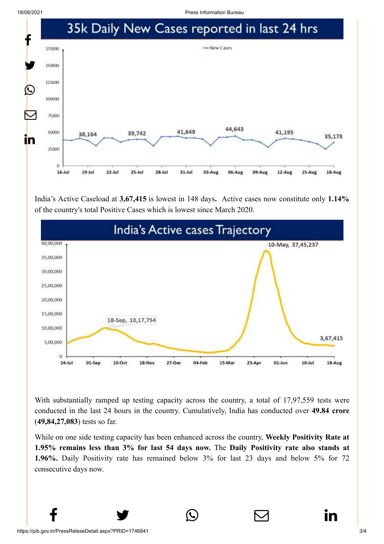18/08/2021 Press Information Bureau



India's Active Caseload at **3,67,415** is lowest in 148 days**.** Active cases now constitute only **1.14%** of the country's total Positive Cases which is lowest since March 2020.



With substantially ramped up testing capacity across the country, a total of 17,97,559 tests were conducted in the last 24 hours in the country. Cumulatively, India has conducted over **49.84 crore** (**49,84,27,083**) tests so far.

While on one side testing capacity has been enhanced across the country, **Weekly Positivity Rate at 1.95% remains less than 3% for last 54 days now.** The **Daily Positivity rate also stands at 1.96%.** Daily Positivity rate has remained below 3% for last 23 days and below 5% for 72 consecutive days now.

 $f \qquad \qquad \blacksquare$